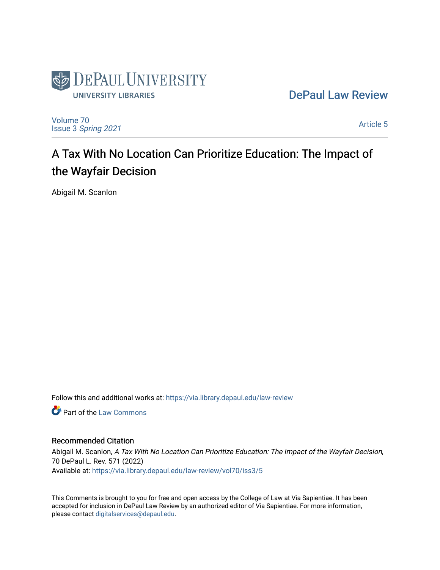

[DePaul Law Review](https://via.library.depaul.edu/law-review) 

[Volume 70](https://via.library.depaul.edu/law-review/vol70) Issue 3 [Spring 2021](https://via.library.depaul.edu/law-review/vol70/iss3) 

[Article 5](https://via.library.depaul.edu/law-review/vol70/iss3/5) 

# A Tax With No Location Can Prioritize Education: The Impact of the Wayfair Decision

Abigail M. Scanlon

Follow this and additional works at: [https://via.library.depaul.edu/law-review](https://via.library.depaul.edu/law-review?utm_source=via.library.depaul.edu%2Flaw-review%2Fvol70%2Fiss3%2F5&utm_medium=PDF&utm_campaign=PDFCoverPages) 

**C** Part of the [Law Commons](http://network.bepress.com/hgg/discipline/578?utm_source=via.library.depaul.edu%2Flaw-review%2Fvol70%2Fiss3%2F5&utm_medium=PDF&utm_campaign=PDFCoverPages)

# Recommended Citation

Abigail M. Scanlon, A Tax With No Location Can Prioritize Education: The Impact of the Wayfair Decision, 70 DePaul L. Rev. 571 (2022) Available at: [https://via.library.depaul.edu/law-review/vol70/iss3/5](https://via.library.depaul.edu/law-review/vol70/iss3/5?utm_source=via.library.depaul.edu%2Flaw-review%2Fvol70%2Fiss3%2F5&utm_medium=PDF&utm_campaign=PDFCoverPages) 

This Comments is brought to you for free and open access by the College of Law at Via Sapientiae. It has been accepted for inclusion in DePaul Law Review by an authorized editor of Via Sapientiae. For more information, please contact [digitalservices@depaul.edu.](mailto:digitalservices@depaul.edu)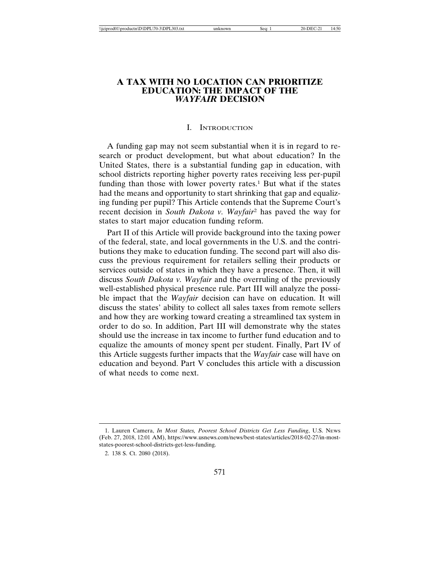## **A TAX WITH NO LOCATION CAN PRIORITIZE EDUCATION: THE IMPACT OF THE** *WAYFAIR* **DECISION**

#### I. INTRODUCTION

A funding gap may not seem substantial when it is in regard to research or product development, but what about education? In the United States, there is a substantial funding gap in education, with school districts reporting higher poverty rates receiving less per-pupil funding than those with lower poverty rates.<sup>1</sup> But what if the states had the means and opportunity to start shrinking that gap and equalizing funding per pupil? This Article contends that the Supreme Court's recent decision in *South Dakota v. Wayfair*2 has paved the way for states to start major education funding reform.

Part II of this Article will provide background into the taxing power of the federal, state, and local governments in the U.S. and the contributions they make to education funding. The second part will also discuss the previous requirement for retailers selling their products or services outside of states in which they have a presence. Then, it will discuss *South Dakota v. Wayfair* and the overruling of the previously well-established physical presence rule. Part III will analyze the possible impact that the *Wayfair* decision can have on education. It will discuss the states' ability to collect all sales taxes from remote sellers and how they are working toward creating a streamlined tax system in order to do so. In addition, Part III will demonstrate why the states should use the increase in tax income to further fund education and to equalize the amounts of money spent per student. Finally, Part IV of this Article suggests further impacts that the *Wayfair* case will have on education and beyond. Part V concludes this article with a discussion of what needs to come next.

<sup>1.</sup> Lauren Camera, *In Most States, Poorest School Districts Get Less Funding*, U.S. NEWS (Feb. 27, 2018, 12:01 AM), https://www.usnews.com/news/best-states/articles/2018-02-27/in-moststates-poorest-school-districts-get-less-funding.

<sup>2. 138</sup> S. Ct. 2080 (2018).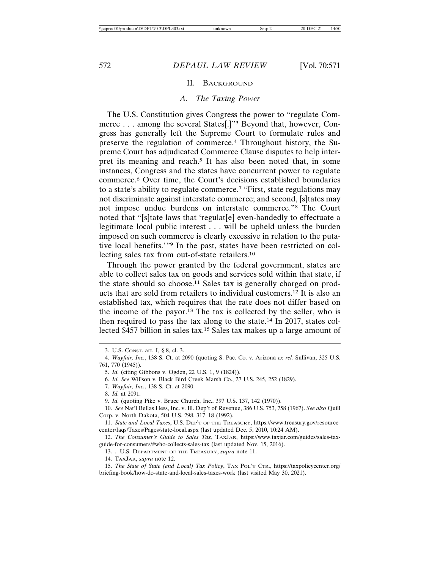#### II. BACKGROUND

## *A. The Taxing Power*

The U.S. Constitution gives Congress the power to "regulate Commerce . . . among the several States[.]"3 Beyond that, however, Congress has generally left the Supreme Court to formulate rules and preserve the regulation of commerce.4 Throughout history, the Supreme Court has adjudicated Commerce Clause disputes to help interpret its meaning and reach.<sup>5</sup> It has also been noted that, in some instances, Congress and the states have concurrent power to regulate commerce.6 Over time, the Court's decisions established boundaries to a state's ability to regulate commerce.7 "First, state regulations may not discriminate against interstate commerce; and second, [s]tates may not impose undue burdens on interstate commerce."8 The Court noted that "[s]tate laws that 'regulat[e] even-handedly to effectuate a legitimate local public interest . . . will be upheld unless the burden imposed on such commerce is clearly excessive in relation to the putative local benefits.'"9 In the past, states have been restricted on collecting sales tax from out-of-state retailers.10

Through the power granted by the federal government, states are able to collect sales tax on goods and services sold within that state, if the state should so choose.11 Sales tax is generally charged on products that are sold from retailers to individual customers.12 It is also an established tax, which requires that the rate does not differ based on the income of the payor.<sup>13</sup> The tax is collected by the seller, who is then required to pass the tax along to the state.14 In 2017, states collected \$457 billion in sales tax.15 Sales tax makes up a large amount of

<sup>3.</sup> U.S. CONST. art. I, § 8, cl. 3.

<sup>4.</sup> *Wayfair, Inc.*, 138 S. Ct. at 2090 (quoting S. Pac. Co. v. Arizona *ex rel.* Sullivan, 325 U.S. 761, 770 (1945)).

<sup>5.</sup> *Id.* (citing Gibbons v. Ogden, 22 U.S. 1, 9 (1824)).

<sup>6.</sup> *Id. See* Willson v. Black Bird Creek Marsh Co., 27 U.S. 245, 252 (1829).

<sup>7.</sup> *Wayfair, Inc.*, 138 S. Ct. at 2090.

<sup>8.</sup> *Id.* at 2091.

<sup>9.</sup> *Id.* (quoting Pike v. Bruce Church, Inc., 397 U.S. 137, 142 (1970)).

<sup>10.</sup> *See* Nat'l Bellas Hess, Inc. v. Ill. Dep't of Revenue, 386 U.S. 753, 758 (1967). *See also* Quill Corp. v. North Dakota, 504 U.S. 298, 317–18 (1992).

<sup>11.</sup> *State and Local Taxes*, U.S. DEP'T OF THE TREASURY, https://www.treasury.gov/resourcecenter/faqs/Taxes/Pages/state-local.aspx (last updated Dec. 5, 2010, 10:24 AM).

<sup>12.</sup> *The Consumer's Guide to Sales Tax*, TAXJAR, https://www.taxjar.com/guides/sales-taxguide-for-consumers/#who-collects-sales-tax (last updated Nov. 15, 2016).

<sup>13. .</sup> U.S. DEPARTMENT OF THE TREASURY, *supra* note 11.

<sup>14.</sup> TAXJAR, *supra* note 12.

<sup>15.</sup> *The State of State (and Local) Tax Policy*, TAX POL'Y CTR., https://taxpolicycenter.org/ briefing-book/how-do-state-and-local-sales-taxes-work (last visited May 30, 2021).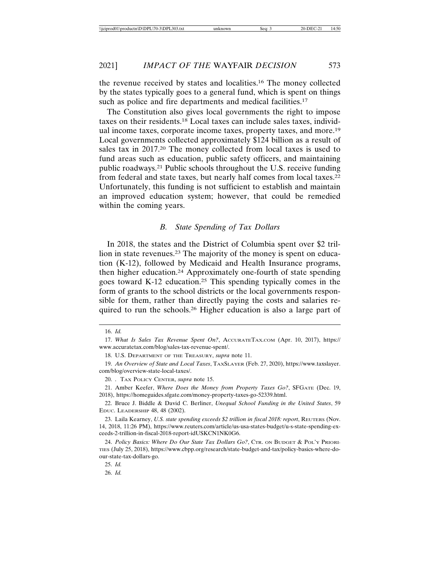the revenue received by states and localities.16 The money collected by the states typically goes to a general fund, which is spent on things such as police and fire departments and medical facilities.<sup>17</sup>

The Constitution also gives local governments the right to impose taxes on their residents.18 Local taxes can include sales taxes, individual income taxes, corporate income taxes, property taxes, and more.19 Local governments collected approximately \$124 billion as a result of sales tax in 2017.20 The money collected from local taxes is used to fund areas such as education, public safety officers, and maintaining public roadways.21 Public schools throughout the U.S. receive funding from federal and state taxes, but nearly half comes from local taxes.22 Unfortunately, this funding is not sufficient to establish and maintain an improved education system; however, that could be remedied within the coming years.

#### *B. State Spending of Tax Dollars*

In 2018, the states and the District of Columbia spent over \$2 trillion in state revenues.<sup>23</sup> The majority of the money is spent on education (K-12), followed by Medicaid and Health Insurance programs, then higher education.24 Approximately one-fourth of state spending goes toward K-12 education.25 This spending typically comes in the form of grants to the school districts or the local governments responsible for them, rather than directly paying the costs and salaries required to run the schools.26 Higher education is also a large part of

19. *An Overview of State and Local Taxes*, TAXSLAYER (Feb. 27, 2020), https://www.taxslayer. com/blog/overview-state-local-taxes/.

20. . TAX POLICY CENTER, *supra* note 15.

21. Amber Keefer, *Where Does the Money from Property Taxes Go?*, SFGATE (Dec. 19, 2018), https://homeguides.sfgate.com/money-property-taxes-go-52339.html.

<sup>16.</sup> *Id.*

<sup>17.</sup> *What Is Sales Tax Revenue Spent On?*, ACCURATETAX.COM (Apr. 10, 2017), https:// www.accuratetax.com/blog/sales-tax-revenue-spent/.

<sup>18.</sup> U.S. DEPARTMENT OF THE TREASURY, *supra* note 11.

<sup>22.</sup> Bruce J. Biddle & David C. Berliner, *Unequal School Funding in the United States*, 59 EDUC. LEADERSHIP 48, 48 (2002).

<sup>23.</sup> Laila Kearney, *U.S. state spending exceeds \$2 trillion in fiscal 2018: report*, REUTERS (Nov. 14, 2018, 11:26 PM), https://www.reuters.com/article/us-usa-states-budget/u-s-state-spending-exceeds-2-trillion-in-fiscal-2018-report-idUSKCN1NK0G6.

<sup>24.</sup> *Policy Basics: Where Do Our State Tax Dollars Go?*, CTR. ON BUDGET & POL'Y PRIORI-TIES (July 25, 2018), https://www.cbpp.org/research/state-budget-and-tax/policy-basics-where-doour-state-tax-dollars-go.

<sup>25.</sup> *Id.*

<sup>26.</sup> *Id.*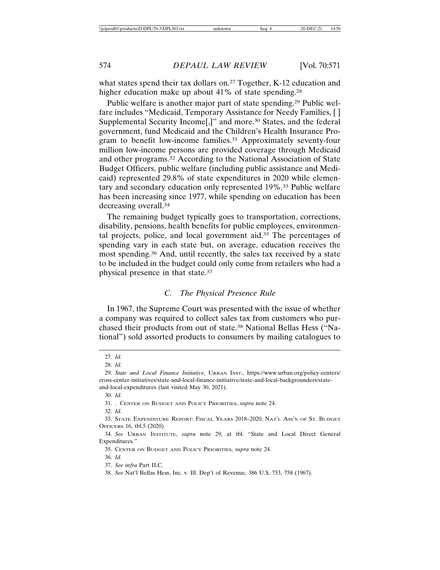what states spend their tax dollars on.<sup>27</sup> Together, K-12 education and higher education make up about 41% of state spending.<sup>28</sup>

Public welfare is another major part of state spending.<sup>29</sup> Public welfare includes "Medicaid, Temporary Assistance for Needy Families, [ ] Supplemental Security Income<sup>[1]</sup>, and more.<sup>30</sup> States, and the federal government, fund Medicaid and the Children's Health Insurance Program to benefit low-income families.31 Approximately seventy-four million low-income persons are provided coverage through Medicaid and other programs.32 According to the National Association of State Budget Officers, public welfare (including public assistance and Medicaid) represented 29.8% of state expenditures in 2020 while elementary and secondary education only represented 19%.33 Public welfare has been increasing since 1977, while spending on education has been decreasing overall.34

The remaining budget typically goes to transportation, corrections, disability, pensions, health benefits for public employees, environmental projects, police, and local government aid.35 The percentages of spending vary in each state but, on average, education receives the most spending.36 And, until recently, the sales tax received by a state to be included in the budget could only come from retailers who had a physical presence in that state.37

#### *C. The Physical Presence Rule*

In 1967, the Supreme Court was presented with the issue of whether a company was required to collect sales tax from customers who purchased their products from out of state.38 National Bellas Hess ("National") sold assorted products to consumers by mailing catalogues to

<sup>27.</sup> *Id.*

<sup>28.</sup> *Id.*

<sup>29.</sup> *State and Local Finance Initiative*, URBAN INST., https://www.urban.org/policy-centers/ cross-center-initiatives/state-and-local-finance-initiative/state-and-local-backgrounders/stateand-local-expenditures (last visited May 30, 2021).

<sup>30.</sup> *Id.*

<sup>31. .</sup> CENTER ON BUDGET AND POLICY PRIORITIES, *supra* note 24.

<sup>32.</sup> *Id.*

<sup>33.</sup> STATE EXPENDITURE REPORT: FISCAL YEARS 2018–2020, NAT'L ASS'N OF ST. BUDGET OFFICERS 16, tbl.5 (2020).

<sup>34.</sup> *See* URBAN INSTITUTE, *supra* note 29, at tbl. "State and Local Direct General Expenditures."

<sup>35.</sup> CENTER ON BUDGET AND POLICY PRIORITIES, *supra* note 24.

<sup>36.</sup> *Id.*

<sup>37.</sup> *See infra* Part II.C.

<sup>38.</sup> *See* Nat'l Bellas Hess, Inc. v. Ill. Dep't of Revenue, 386 U.S. 753, 758 (1967).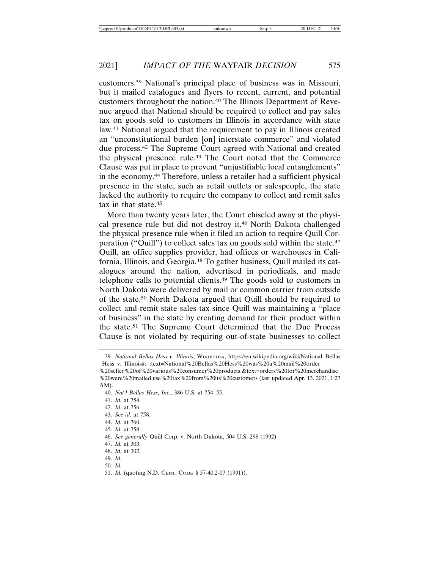customers.39 National's principal place of business was in Missouri, but it mailed catalogues and flyers to recent, current, and potential customers throughout the nation.40 The Illinois Department of Revenue argued that National should be required to collect and pay sales tax on goods sold to customers in Illinois in accordance with state law.41 National argued that the requirement to pay in Illinois created an "unconstitutional burden [on] interstate commerce" and violated due process.42 The Supreme Court agreed with National and created the physical presence rule.43 The Court noted that the Commerce Clause was put in place to prevent "unjustifiable local entanglements" in the economy.44 Therefore, unless a retailer had a sufficient physical presence in the state, such as retail outlets or salespeople, the state lacked the authority to require the company to collect and remit sales tax in that state.45

More than twenty years later, the Court chiseled away at the physical presence rule but did not destroy it.46 North Dakota challenged the physical presence rule when it filed an action to require Quill Corporation ("Quill") to collect sales tax on goods sold within the state.<sup>47</sup> Quill, an office supplies provider, had offices or warehouses in California, Illinois, and Georgia.48 To gather business, Quill mailed its catalogues around the nation, advertised in periodicals, and made telephone calls to potential clients.49 The goods sold to customers in North Dakota were delivered by mail or common carrier from outside of the state.50 North Dakota argued that Quill should be required to collect and remit state sales tax since Quill was maintaining a "place of business" in the state by creating demand for their product within the state.51 The Supreme Court determined that the Due Process Clause is not violated by requiring out-of-state businesses to collect

42. *Id.* at 756.

- 44. *Id.* at 760.
- 45. *Id.* at 758.
- 46. *See generally* Quill Corp. v. North Dakota, 504 U.S. 298 (1992).
- 47. *Id.* at 303.
- 48. *Id.* at 302.
- 49. *Id.*
- 50. *Id.*
- 51. *Id.* (quoting N.D. CENT. CODE § 57-40.2-07 (1991)).

<sup>39.</sup> *National Bellas Hess v. Illinois*, WIKIPEDIA, https://en.wikipedia.org/wiki/National\_Bellas \_Hess\_v.\_Illinois#:~:text=National%20Bellas%20Hess%20was%20a%20mail%20order

<sup>%20</sup>seller%20of%20various%20consumer%20products.&text=orders%20for%20merchandise %20were%20mailed,use%20tax%20from%20its%20customers (last updated Apr. 13, 2021, 1:27 AM).

<sup>40.</sup> *Nat'l Bellas Hess, Inc.*, 386 U.S. at 754–55.

<sup>41.</sup> *Id.* at 754.

<sup>43.</sup> *See id.* at 758.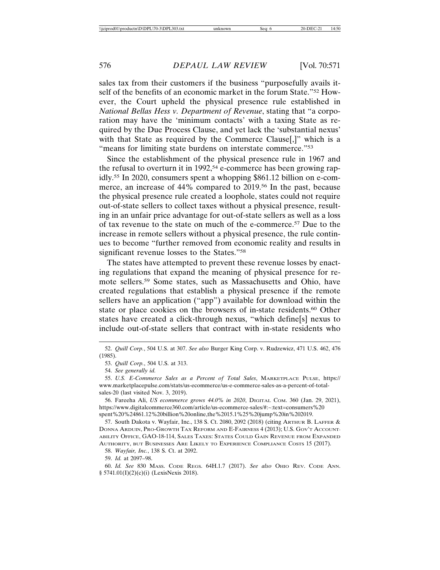sales tax from their customers if the business "purposefully avails itself of the benefits of an economic market in the forum State."52 However, the Court upheld the physical presence rule established in *National Bellas Hess v. Department of Revenue*, stating that "a corporation may have the 'minimum contacts' with a taxing State as required by the Due Process Clause, and yet lack the 'substantial nexus' with that State as required by the Commerce Clause..." which is a "means for limiting state burdens on interstate commerce."<sup>53</sup>

Since the establishment of the physical presence rule in 1967 and the refusal to overturn it in 1992,<sup>54</sup> e-commerce has been growing rapidly.55 In 2020, consumers spent a whopping \$861.12 billion on e-commerce, an increase of 44% compared to 2019.<sup>56</sup> In the past, because the physical presence rule created a loophole, states could not require out-of-state sellers to collect taxes without a physical presence, resulting in an unfair price advantage for out-of-state sellers as well as a loss of tax revenue to the state on much of the e-commerce.57 Due to the increase in remote sellers without a physical presence, the rule continues to become "further removed from economic reality and results in significant revenue losses to the States."58

The states have attempted to prevent these revenue losses by enacting regulations that expand the meaning of physical presence for remote sellers.59 Some states, such as Massachusetts and Ohio, have created regulations that establish a physical presence if the remote sellers have an application ("app") available for download within the state or place cookies on the browsers of in-state residents.<sup>60</sup> Other states have created a click-through nexus, "which define[s] nexus to include out-of-state sellers that contract with in-state residents who

56. Fareeha Ali, *US ecommerce grows 44.0% in 2020*, DIGITAL COM. 360 (Jan. 29, 2021), https://www.digitalcommerce360.com/article/us-ecommerce-sales/#:~:text=consumers%20 spent%20%24861.12%20billion%20online,the%2015.1%25%20jump%20in%202019.

57. South Dakota v. Wayfair, Inc., 138 S. Ct. 2080, 2092 (2018) (citing ARTHUR B. LAFFER & DONNA ARDUIN, PRO-GROWTH TAX REFORM AND E-FAIRNESS 4 (2013); U.S. GOV'T ACCOUNT-ABILITY OFFICE, GAO-18-114, SALES TAXES: STATES COULD GAIN REVENUE FROM EXPANDED AUTHORITY, BUT BUSINESSES ARE LIKELY TO EXPERIENCE COMPLIANCE COSTS 15 (2017).

58. *Wayfair, Inc.*, 138 S. Ct. at 2092.

59. *Id.* at 2097–98.

60. *Id. See* 830 MASS. CODE REGS. 64H.1.7 (2017). *See also* OHIO REV. CODE ANN. § 5741.01(I)(2)(c)(i) (LexisNexis 2018).

<sup>52.</sup> *Quill Corp.*, 504 U.S. at 307. *See also* Burger King Corp. v. Rudzewicz, 471 U.S. 462, 476 (1985).

<sup>53.</sup> *Quill Corp.*, 504 U.S. at 313.

<sup>54.</sup> *See generally id.*

<sup>55.</sup> *U.S. E-Commerce Sales as a Percent of Total Sales*, MARKETPLACE PULSE, https:// www.marketplacepulse.com/stats/us-ecommerce/us-e-commerce-sales-as-a-percent-of-totalsales-20 (last visited Nov. 3, 2019).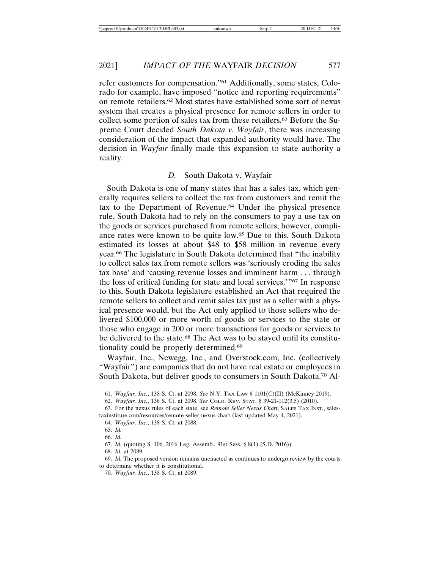refer customers for compensation."61 Additionally, some states, Colorado for example, have imposed "notice and reporting requirements" on remote retailers.62 Most states have established some sort of nexus system that creates a physical presence for remote sellers in order to collect some portion of sales tax from these retailers.63 Before the Supreme Court decided *South Dakota v. Wayfair*, there was increasing consideration of the impact that expanded authority would have. The decision in *Wayfair* finally made this expansion to state authority a reality.

#### *D.* South Dakota v. Wayfair

South Dakota is one of many states that has a sales tax, which generally requires sellers to collect the tax from customers and remit the tax to the Department of Revenue.64 Under the physical presence rule, South Dakota had to rely on the consumers to pay a use tax on the goods or services purchased from remote sellers; however, compliance rates were known to be quite low.65 Due to this, South Dakota estimated its losses at about \$48 to \$58 million in revenue every year.66 The legislature in South Dakota determined that "the inability to collect sales tax from remote sellers was 'seriously eroding the sales tax base' and 'causing revenue losses and imminent harm . . . through the loss of critical funding for state and local services.'"67 In response to this, South Dakota legislature established an Act that required the remote sellers to collect and remit sales tax just as a seller with a physical presence would, but the Act only applied to those sellers who delivered \$100,000 or more worth of goods or services to the state or those who engage in 200 or more transactions for goods or services to be delivered to the state.68 The Act was to be stayed until its constitutionality could be properly determined.69

Wayfair, Inc., Newegg, Inc., and Overstock.com, Inc. (collectively "Wayfair") are companies that do not have real estate or employees in South Dakota, but deliver goods to consumers in South Dakota.70 Al-

69. *Id.* The proposed version remains unenacted as continues to undergo review by the courts to determine whether it is constitutional.

70. *Wayfair, Inc.*, 138 S. Ct. at 2089.

<sup>61.</sup> *Wayfair, Inc.*, 138 S. Ct. at 2098. *See* N.Y. TAX LAW § 1101(C)(II) (McKinney 2019).

<sup>62.</sup> *Wayfair, Inc.*, 138 S. Ct. at 2098. *See* COLO. REV. STAT. § 39-21-112(3.5) (2010).

<sup>63.</sup> For the nexus rules of each state, see *Remote Seller Nexus Chart*, SALES TAX INST., salestaxinstitute.com/resources/remote-seller-nexus-chart (last updated May 4, 2021).

<sup>64.</sup> *Wayfair, Inc.*, 138 S. Ct. at 2088.

<sup>65.</sup> *Id.*

<sup>66.</sup> *Id.*

<sup>67.</sup> *Id.* (quoting S. 106, 2016 Leg. Assemb., 91st Sess. § 8(1) (S.D. 2016)).

<sup>68.</sup> *Id.* at 2089.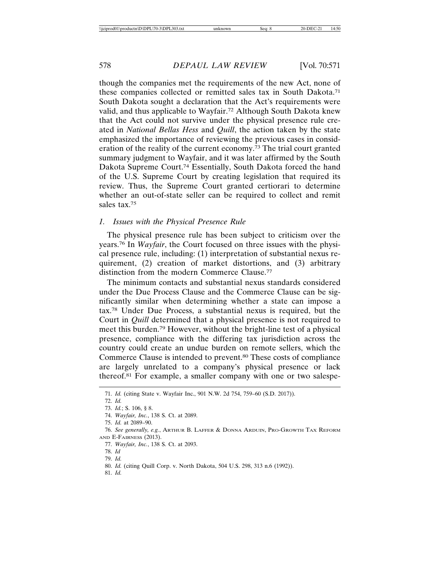though the companies met the requirements of the new Act, none of these companies collected or remitted sales tax in South Dakota.71 South Dakota sought a declaration that the Act's requirements were valid, and thus applicable to Wayfair.72 Although South Dakota knew that the Act could not survive under the physical presence rule created in *National Bellas Hess* and *Quill*, the action taken by the state emphasized the importance of reviewing the previous cases in consideration of the reality of the current economy.73 The trial court granted summary judgment to Wayfair, and it was later affirmed by the South Dakota Supreme Court.74 Essentially, South Dakota forced the hand of the U.S. Supreme Court by creating legislation that required its review. Thus, the Supreme Court granted certiorari to determine whether an out-of-state seller can be required to collect and remit sales tax.75

#### *1. Issues with the Physical Presence Rule*

The physical presence rule has been subject to criticism over the years.76 In *Wayfair*, the Court focused on three issues with the physical presence rule, including: (1) interpretation of substantial nexus requirement, (2) creation of market distortions, and (3) arbitrary distinction from the modern Commerce Clause.77

The minimum contacts and substantial nexus standards considered under the Due Process Clause and the Commerce Clause can be significantly similar when determining whether a state can impose a tax.78 Under Due Process, a substantial nexus is required, but the Court in *Quill* determined that a physical presence is not required to meet this burden.79 However, without the bright-line test of a physical presence, compliance with the differing tax jurisdiction across the country could create an undue burden on remote sellers, which the Commerce Clause is intended to prevent.80 These costs of compliance are largely unrelated to a company's physical presence or lack thereof.81 For example, a smaller company with one or two salespe-

<sup>71.</sup> *Id.* (citing State v. Wayfair Inc., 901 N.W. 2d 754, 759–60 (S.D. 2017)).

<sup>72.</sup> *Id.*

<sup>73.</sup> *Id.*; S. 106, § 8.

<sup>74.</sup> *Wayfair, Inc.*, 138 S. Ct. at 2089.

<sup>75.</sup> *Id.* at 2089–90.

<sup>76.</sup> *See generally, e.g.*, ARTHUR B. LAFFER & DONNA ARDUIN, PRO-GROWTH TAX REFORM AND E-FAIRNESS (2013).

<sup>77.</sup> *Wayfair, Inc.*, 138 S. Ct. at 2093.

<sup>78.</sup> *Id*

<sup>79.</sup> *Id.*

<sup>80.</sup> *Id.* (citing Quill Corp. v. North Dakota, 504 U.S. 298, 313 n.6 (1992)).

<sup>81.</sup> *Id.*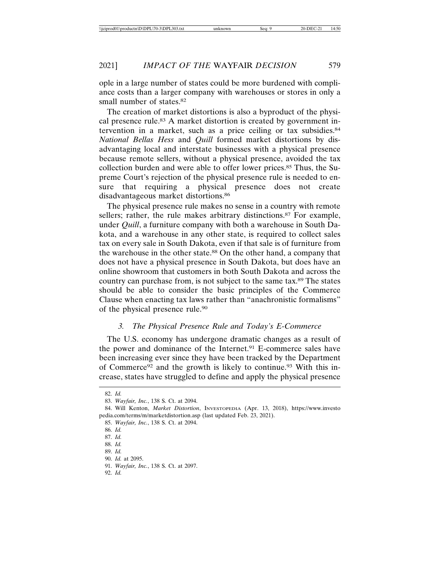ople in a large number of states could be more burdened with compliance costs than a larger company with warehouses or stores in only a small number of states.<sup>82</sup>

The creation of market distortions is also a byproduct of the physical presence rule.<sup>83</sup> A market distortion is created by government intervention in a market, such as a price ceiling or tax subsidies.84 *National Bellas Hess* and *Quill* formed market distortions by disadvantaging local and interstate businesses with a physical presence because remote sellers, without a physical presence, avoided the tax collection burden and were able to offer lower prices.85 Thus, the Supreme Court's rejection of the physical presence rule is needed to ensure that requiring a physical presence does not create disadvantageous market distortions.86

The physical presence rule makes no sense in a country with remote sellers; rather, the rule makes arbitrary distinctions.<sup>87</sup> For example, under *Quill*, a furniture company with both a warehouse in South Dakota, and a warehouse in any other state, is required to collect sales tax on every sale in South Dakota, even if that sale is of furniture from the warehouse in the other state.88 On the other hand, a company that does not have a physical presence in South Dakota, but does have an online showroom that customers in both South Dakota and across the country can purchase from, is not subject to the same tax.89 The states should be able to consider the basic principles of the Commerce Clause when enacting tax laws rather than "anachronistic formalisms" of the physical presence rule.90

#### *3. The Physical Presence Rule and Today's E-Commerce*

The U.S. economy has undergone dramatic changes as a result of the power and dominance of the Internet.<sup>91</sup> E-commerce sales have been increasing ever since they have been tracked by the Department of Commerce<sup>92</sup> and the growth is likely to continue.<sup>93</sup> With this increase, states have struggled to define and apply the physical presence

<sup>82.</sup> *Id.*

<sup>83.</sup> *Wayfair, Inc.*, 138 S. Ct. at 2094.

<sup>84.</sup> Will Kenton, *Market Distortion*, INVESTOPEDIA (Apr. 13, 2018), https://www.investo pedia.com/terms/m/marketdistortion.asp (last updated Feb. 23, 2021).

<sup>85.</sup> *Wayfair, Inc.*, 138 S. Ct. at 2094.

<sup>86.</sup> *Id.*

<sup>87.</sup> *Id.*

<sup>88.</sup> *Id.*

<sup>89.</sup> *Id.* 90. *Id.* at 2095.

<sup>91.</sup> *Wayfair, Inc.*, 138 S. Ct. at 2097.

<sup>92.</sup> *Id.*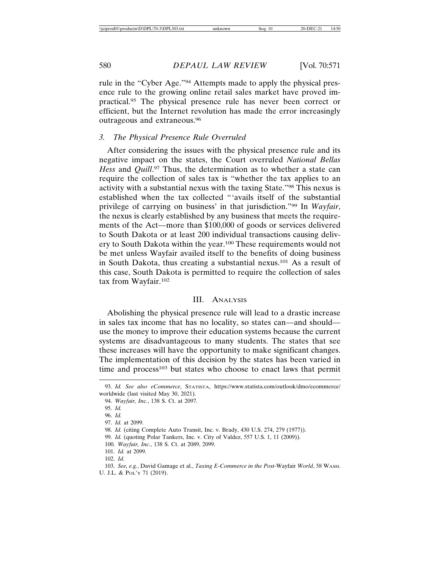rule in the "Cyber Age."94 Attempts made to apply the physical presence rule to the growing online retail sales market have proved impractical.95 The physical presence rule has never been correct or efficient, but the Internet revolution has made the error increasingly outrageous and extraneous.96

#### *3. The Physical Presence Rule Overruled*

After considering the issues with the physical presence rule and its negative impact on the states, the Court overruled *National Bellas Hess* and *Quill*. 97 Thus, the determination as to whether a state can require the collection of sales tax is "whether the tax applies to an activity with a substantial nexus with the taxing State."98 This nexus is established when the tax collected "'avails itself of the substantial privilege of carrying on business' in that jurisdiction."99 In *Wayfair*, the nexus is clearly established by any business that meets the requirements of the Act—more than \$100,000 of goods or services delivered to South Dakota or at least 200 individual transactions causing delivery to South Dakota within the year.100 These requirements would not be met unless Wayfair availed itself to the benefits of doing business in South Dakota, thus creating a substantial nexus.101 As a result of this case, South Dakota is permitted to require the collection of sales tax from Wayfair.102

#### III. ANALYSIS

Abolishing the physical presence rule will lead to a drastic increase in sales tax income that has no locality, so states can—and should use the money to improve their education systems because the current systems are disadvantageous to many students. The states that see these increases will have the opportunity to make significant changes. The implementation of this decision by the states has been varied in time and process<sup>103</sup> but states who choose to enact laws that permit

100. *Wayfair, Inc.*, 138 S. Ct. at 2089, 2099.

<sup>93.</sup> *Id. See also eCommerce*, STATISTA, https://www.statista.com/outlook/dmo/ecommerce/ worldwide (last visited May 30, 2021).

<sup>94.</sup> *Wayfair, Inc.*, 138 S. Ct. at 2097.

<sup>95.</sup> *Id.*

<sup>96.</sup> *Id.*

<sup>97.</sup> *Id.* at 2099.

<sup>98.</sup> *Id.* (citing Complete Auto Transit, Inc. v. Brady, 430 U.S. 274, 279 (1977)).

<sup>99.</sup> *Id.* (quoting Polar Tankers, Inc. v. City of Valdez, 557 U.S. 1, 11 (2009)).

<sup>101.</sup> *Id.* at 2099.

<sup>102.</sup> *Id.*

<sup>103.</sup> *See, e.g.*, David Gamage et al., *Taxing E-Commerce in the Post-*Wayfair *World*, 58 WASH. U. J.L. & POL'Y 71 (2019).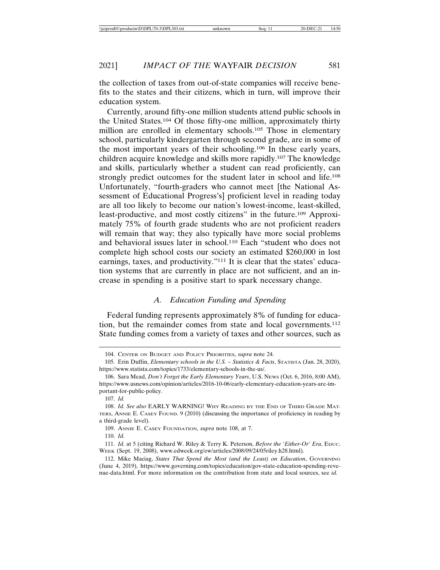the collection of taxes from out-of-state companies will receive benefits to the states and their citizens, which in turn, will improve their education system.

Currently, around fifty-one million students attend public schools in the United States.104 Of those fifty-one million, approximately thirty million are enrolled in elementary schools.<sup>105</sup> Those in elementary school, particularly kindergarten through second grade, are in some of the most important years of their schooling.106 In these early years, children acquire knowledge and skills more rapidly.107 The knowledge and skills, particularly whether a student can read proficiently, can strongly predict outcomes for the student later in school and life.108 Unfortunately, "fourth-graders who cannot meet [the National Assessment of Educational Progress's] proficient level in reading today are all too likely to become our nation's lowest-income, least-skilled, least-productive, and most costly citizens" in the future.109 Approximately 75% of fourth grade students who are not proficient readers will remain that way; they also typically have more social problems and behavioral issues later in school.110 Each "student who does not complete high school costs our society an estimated \$260,000 in lost earnings, taxes, and productivity."111 It is clear that the states' education systems that are currently in place are not sufficient, and an increase in spending is a positive start to spark necessary change.

### *A. Education Funding and Spending*

Federal funding represents approximately 8% of funding for education, but the remainder comes from state and local governments.112 State funding comes from a variety of taxes and other sources, such as

107. *Id.*

109. ANNIE E. CASEY FOUNDATION, *supra* note 108, at 7.

110. *Id.*

<sup>104.</sup> CENTER ON BUDGET AND POLICY PRIORITIES, *supra* note 24.

<sup>105.</sup> Erin Duffin, *Elementary schools in the U.S. – Statistics & Facts*, STATISTA (Jan. 28, 2020), https://www.statista.com/topics/1733/elementary-schools-in-the-us/.

<sup>106.</sup> Sara Mead, *Don't Forget the Early Elementary Years*, U.S. NEWS (Oct. 6, 2016, 8:00 AM), https://www.usnews.com/opinion/articles/2016-10-06/early-elementary-education-years-are-important-for-public-policy.

<sup>108.</sup> *Id. See also* EARLY WARNING! WHY READING BY THE END OF THIRD GRADE MAT-TERS, ANNIE E. CASEY FOUND. 9 (2010) (discussing the importance of proficiency in reading by a third-grade level).

<sup>111.</sup> *Id.* at 5 (citing Richard W. Riley & Terry K. Peterson, *Before the 'Either-Or' Era*, EDUC. WEEK (Sept. 19, 2008), www.edweek.org/ew/articles/2008/09/24/05riley.h28.html).

<sup>112.</sup> Mike Maciag, *States That Spend the Most (and the Least) on Education*, GOVERNING (June 4, 2019), https://www.governing.com/topics/education/gov-state-education-spending-revenue-data.html. For more information on the contribution from state and local sources, see *id.*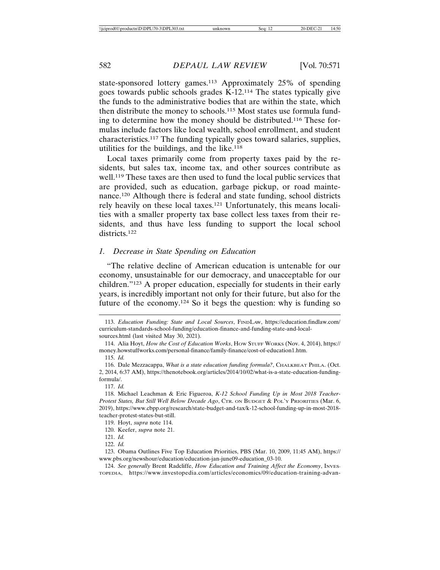state-sponsored lottery games.113 Approximately 25% of spending goes towards public schools grades K-12.114 The states typically give the funds to the administrative bodies that are within the state, which then distribute the money to schools.115 Most states use formula funding to determine how the money should be distributed.116 These formulas include factors like local wealth, school enrollment, and student characteristics.117 The funding typically goes toward salaries, supplies, utilities for the buildings, and the like.118

Local taxes primarily come from property taxes paid by the residents, but sales tax, income tax, and other sources contribute as well.119 These taxes are then used to fund the local public services that are provided, such as education, garbage pickup, or road maintenance.120 Although there is federal and state funding, school districts rely heavily on these local taxes.121 Unfortunately, this means localities with a smaller property tax base collect less taxes from their residents, and thus have less funding to support the local school districts.122

#### *1. Decrease in State Spending on Education*

"The relative decline of American education is untenable for our economy, unsustainable for our democracy, and unacceptable for our children."123 A proper education, especially for students in their early years, is incredibly important not only for their future, but also for the future of the economy.124 So it begs the question: why is funding so

<sup>113.</sup> *Education Funding: State and Local Sources*, FINDLAW, https://education.findlaw.com/ curriculum-standards-school-funding/education-finance-and-funding-state-and-localsources.html (last visited May 30, 2021).

<sup>114.</sup> Alia Hoyt, *How the Cost of Education Works*, HOW STUFF WORKS (Nov. 4, 2014), https:// money.howstuffworks.com/personal-finance/family-finance/cost-of-education1.htm.

<sup>115.</sup> *Id.*

<sup>116.</sup> Dale Mezzacappa, *What is a state education funding formula?*, CHALKBEAT PHILA. (Oct. 2, 2014, 6:37 AM), https://thenotebook.org/articles/2014/10/02/what-is-a-state-education-fundingformula/.

<sup>117.</sup> *Id.*

<sup>118.</sup> Michael Leachman & Eric Figueroa, *K-12 School Funding Up in Most 2018 Teacher-Protest States, But Still Well Below Decade Ago*, CTR. ON BUDGET & POL'Y PRIORITIES (Mar. 6, 2019), https://www.cbpp.org/research/state-budget-and-tax/k-12-school-funding-up-in-most-2018 teacher-protest-states-but-still.

<sup>119.</sup> Hoyt, *supra* note 114.

<sup>120.</sup> Keefer, *supra* note 21.

<sup>121.</sup> *Id.*

<sup>122.</sup> *Id.*

<sup>123.</sup> Obama Outlines Five Top Education Priorities, PBS (Mar. 10, 2009, 11:45 AM), https:// www.pbs.org/newshour/education/education-jan-june09-education\_03-10.

<sup>124.</sup> *See generally* Brent Radcliffe, *How Education and Training Affect the Economy*, INVES-TOPEDIA, https://www.investopedia.com/articles/economics/09/education-training-advan-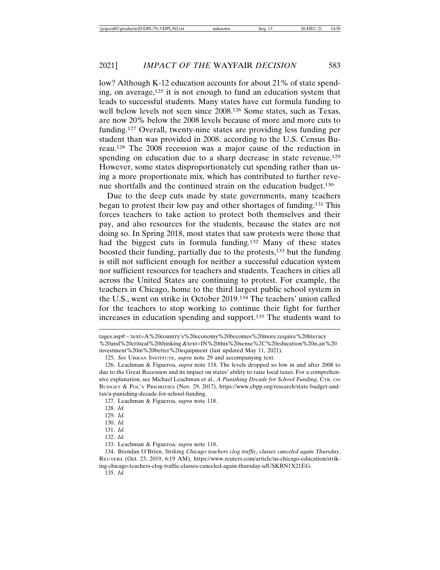low? Although K-12 education accounts for about 21% of state spending, on average,125 it is not enough to fund an education system that leads to successful students. Many states have cut formula funding to well below levels not seen since 2008.126 Some states, such as Texas, are now 20% below the 2008 levels because of more and more cuts to funding.127 Overall, twenty-nine states are providing less funding per student than was provided in 2008. according to the U.S. Census Bureau.128 The 2008 recession was a major cause of the reduction in spending on education due to a sharp decrease in state revenue.<sup>129</sup> However, some states disproportionately cut spending rather than using a more proportionate mix, which has contributed to further revenue shortfalls and the continued strain on the education budget.130

Due to the deep cuts made by state governments, many teachers began to protest their low pay and other shortages of funding.131 This forces teachers to take action to protect both themselves and their pay, and also resources for the students, because the states are not doing so. In Spring 2018, most states that saw protests were those that had the biggest cuts in formula funding.132 Many of these states boosted their funding, partially due to the protests,133 but the funding is still not sufficient enough for neither a successful education system nor sufficient resources for teachers and students. Teachers in cities all across the United States are continuing to protest. For example, the teachers in Chicago, home to the third largest public school system in the U.S., went on strike in October 2019.134 The teachers' union called for the teachers to stop working to continue their fight for further increases in education spending and support.135 The students want to

125. *See* URBAN INSTITUTE, *supra* note 29 and accompanying text.

127. Leachman & Figueroa, *supra* note 118.

129. *Id.*

130. *Id.*

- 131. *Id.*
- 132. *Id.*

tages.asp#:~:text=A%20country's%20economy%20becomes%20more,require%20literacy %20and%20critical%20thinking.&text=IN%20this%20sense%2C%20education%20is,an%20 investment%20in%20better%20equipment (last updated May 11, 2021).

<sup>126.</sup> Leachman & Figueroa, *supra* note 118. The levels dropped so low in and after 2008 to due to the Great Recession and its impact on states' ability to raise local taxes. For a comprehensive explanation, see Michael Leachman et al., *A Punishing Decade for School Funding*, CTR. ON BUDGET & POL'Y PRIORITIES (Nov. 29, 2017), https://www.cbpp.org/research/state-budget-andtax/a-punishing-decade-for-school-funding.

<sup>128.</sup> *Id.*

<sup>133.</sup> Leachman & Figueroa, *supra* note 118.

<sup>134.</sup> Brendan O'Brien, *Striking Chicago teachers clog traffic, classes canceled again Thursday*, REUTERS (Oct. 23, 2019, 6:19 AM), https://www.reuters.com/article/us-chicago-education/striking-chicago-teachers-clog-traffic-classes-canceled-again-thursday-idUSKBN1X21EG.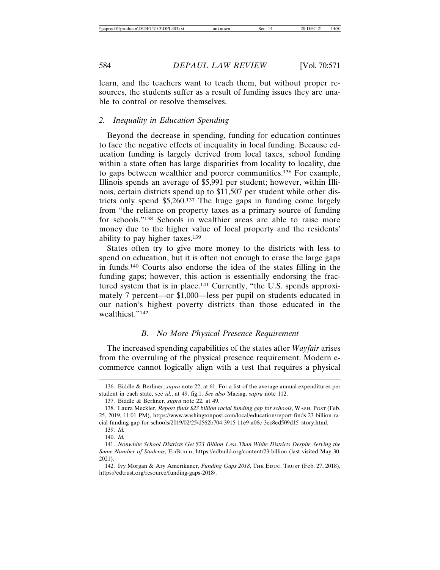learn, and the teachers want to teach them, but without proper resources, the students suffer as a result of funding issues they are unable to control or resolve themselves.

#### *2. Inequality in Education Spending*

Beyond the decrease in spending, funding for education continues to face the negative effects of inequality in local funding. Because education funding is largely derived from local taxes, school funding within a state often has large disparities from locality to locality, due to gaps between wealthier and poorer communities.136 For example, Illinois spends an average of \$5,991 per student; however, within Illinois, certain districts spend up to \$11,507 per student while other districts only spend \$5,260.137 The huge gaps in funding come largely from "the reliance on property taxes as a primary source of funding for schools."138 Schools in wealthier areas are able to raise more money due to the higher value of local property and the residents' ability to pay higher taxes.139

States often try to give more money to the districts with less to spend on education, but it is often not enough to erase the large gaps in funds.140 Courts also endorse the idea of the states filling in the funding gaps; however, this action is essentially endorsing the fractured system that is in place.141 Currently, "the U.S. spends approximately 7 percent—or \$1,000—less per pupil on students educated in our nation's highest poverty districts than those educated in the wealthiest."142

# *B. No More Physical Presence Requirement*

The increased spending capabilities of the states after *Wayfair* arises from the overruling of the physical presence requirement. Modern ecommerce cannot logically align with a test that requires a physical

<sup>136.</sup> Biddle & Berliner, *supra* note 22, at 61. For a list of the average annual expenditures per student in each state, see *id.*, at 49, fig.1. *See also* Maciag, *supra* note 112.

<sup>137.</sup> Biddle & Berliner, *supra* note 22, at 49.

<sup>138.</sup> Laura Meckler, *Report finds \$23 billion racial funding gap for schools*, WASH. POST (Feb. 25, 2019, 11:01 PM), https://www.washingtonpost.com/local/education/report-finds-23-billion-racial-funding-gap-for-schools/2019/02/25/d562b704-3915-11e9-a06c-3ec8ed509d15\_story.html.

<sup>139.</sup> *Id.*

<sup>140.</sup> *Id.*

<sup>141.</sup> *Nonwhite School Districts Get \$23 Billion Less Than White Districts Despite Serving the Same Number of Students*, EDBUILD, https://edbuild.org/content/23-billion (last visited May 30, 2021).

<sup>142.</sup> Ivy Morgan & Ary Amerikaner, *Funding Gaps 2018*, THE EDUC. TRUST (Feb. 27, 2018), https://edtrust.org/resource/funding-gaps-2018/.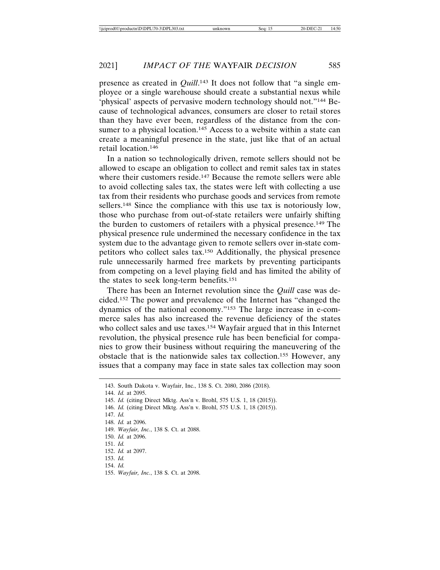presence as created in *Quill*.<sup>143</sup> It does not follow that "a single employee or a single warehouse should create a substantial nexus while 'physical' aspects of pervasive modern technology should not."144 Because of technological advances, consumers are closer to retail stores than they have ever been, regardless of the distance from the consumer to a physical location.<sup>145</sup> Access to a website within a state can create a meaningful presence in the state, just like that of an actual retail location.146

In a nation so technologically driven, remote sellers should not be allowed to escape an obligation to collect and remit sales tax in states where their customers reside.<sup>147</sup> Because the remote sellers were able to avoid collecting sales tax, the states were left with collecting a use tax from their residents who purchase goods and services from remote sellers.148 Since the compliance with this use tax is notoriously low, those who purchase from out-of-state retailers were unfairly shifting the burden to customers of retailers with a physical presence.149 The physical presence rule undermined the necessary confidence in the tax system due to the advantage given to remote sellers over in-state competitors who collect sales tax.150 Additionally, the physical presence rule unnecessarily harmed free markets by preventing participants from competing on a level playing field and has limited the ability of the states to seek long-term benefits.151

There has been an Internet revolution since the *Quill* case was decided.152 The power and prevalence of the Internet has "changed the dynamics of the national economy."153 The large increase in e-commerce sales has also increased the revenue deficiency of the states who collect sales and use taxes.<sup>154</sup> Wayfair argued that in this Internet revolution, the physical presence rule has been beneficial for companies to grow their business without requiring the maneuvering of the obstacle that is the nationwide sales tax collection.155 However, any issues that a company may face in state sales tax collection may soon

143. South Dakota v. Wayfair, Inc., 138 S. Ct. 2080, 2086 (2018). 144. *Id.* at 2095. 145. *Id.* (citing Direct Mktg. Ass'n v. Brohl, 575 U.S. 1, 18 (2015)). 146. *Id.* (citing Direct Mktg. Ass'n v. Brohl, 575 U.S. 1, 18 (2015)). 147. *Id.* 148. *Id.* at 2096. 149. *Wayfair, Inc.*, 138 S. Ct. at 2088. 150. *Id.* at 2096. 151. *Id.* 152. *Id.* at 2097. 153. *Id.* 154. *Id.* 155. *Wayfair, Inc.*, 138 S. Ct. at 2098.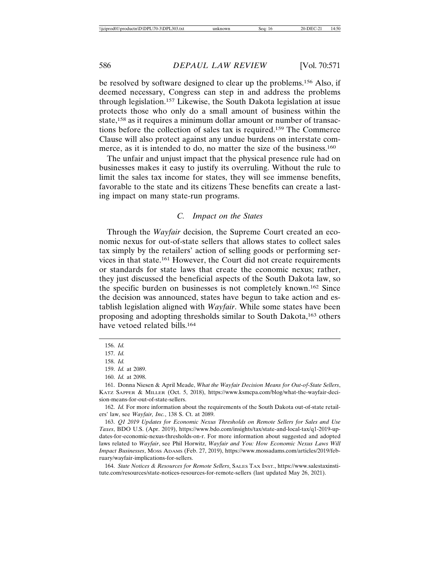be resolved by software designed to clear up the problems.156 Also, if deemed necessary, Congress can step in and address the problems through legislation.157 Likewise, the South Dakota legislation at issue protects those who only do a small amount of business within the state,158 as it requires a minimum dollar amount or number of transactions before the collection of sales tax is required.159 The Commerce Clause will also protect against any undue burdens on interstate commerce, as it is intended to do, no matter the size of the business.<sup>160</sup>

The unfair and unjust impact that the physical presence rule had on businesses makes it easy to justify its overruling. Without the rule to limit the sales tax income for states, they will see immense benefits, favorable to the state and its citizens These benefits can create a lasting impact on many state-run programs.

#### *C. Impact on the States*

Through the *Wayfair* decision, the Supreme Court created an economic nexus for out-of-state sellers that allows states to collect sales tax simply by the retailers' action of selling goods or performing services in that state.161 However, the Court did not create requirements or standards for state laws that create the economic nexus; rather, they just discussed the beneficial aspects of the South Dakota law, so the specific burden on businesses is not completely known.162 Since the decision was announced, states have begun to take action and establish legislation aligned with *Wayfair*. While some states have been proposing and adopting thresholds similar to South Dakota,163 others have vetoed related bills.<sup>164</sup>

162. *Id.* For more information about the requirements of the South Dakota out-of-state retailers' law, see *Wayfair, Inc.*, 138 S. Ct. at 2089.

163. *Q1 2019 Updates for Economic Nexus Thresholds on Remote Sellers for Sales and Use Taxes*, BDO U.S. (Apr. 2019), https://www.bdo.com/insights/tax/state-and-local-tax/q1-2019-updates-for-economic-nexus-thresholds-on-r. For more information about suggested and adopted laws related to *Wayfair*, see Phil Horwitz, *Wayfair and You: How Economic Nexus Laws Will Impact Businesses*, MOSS ADAMS (Feb. 27, 2019), https://www.mossadams.com/articles/2019/february/wayfair-implications-for-sellers.

164. *State Notices & Resources for Remote Sellers*, SALES TAX INST., https://www.salestaxinstitute.com/resources/state-notices-resources-for-remote-sellers (last updated May 26, 2021).

<sup>156.</sup> *Id.*

<sup>157.</sup> *Id.*

<sup>158.</sup> *Id.*

<sup>159.</sup> *Id.* at 2089.

<sup>160.</sup> *Id.* at 2098.

<sup>161.</sup> Donna Niesen & April Meade, *What the Wayfair Decision Means for Out-of-State Sellers*, KATZ SAPPER & MILLER (Oct. 5, 2018), https://www.ksmcpa.com/blog/what-the-wayfair-decision-means-for-out-of-state-sellers.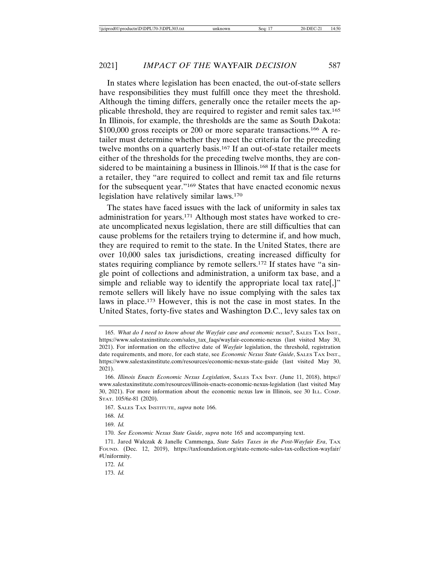In states where legislation has been enacted, the out-of-state sellers have responsibilities they must fulfill once they meet the threshold. Although the timing differs, generally once the retailer meets the applicable threshold, they are required to register and remit sales tax.165 In Illinois, for example, the thresholds are the same as South Dakota: \$100,000 gross receipts or 200 or more separate transactions.166 A retailer must determine whether they meet the criteria for the preceding twelve months on a quarterly basis.<sup>167</sup> If an out-of-state retailer meets either of the thresholds for the preceding twelve months, they are considered to be maintaining a business in Illinois.<sup>168</sup> If that is the case for a retailer, they "are required to collect and remit tax and file returns for the subsequent year."169 States that have enacted economic nexus legislation have relatively similar laws.170

The states have faced issues with the lack of uniformity in sales tax administration for years.171 Although most states have worked to create uncomplicated nexus legislation, there are still difficulties that can cause problems for the retailers trying to determine if, and how much, they are required to remit to the state. In the United States, there are over 10,000 sales tax jurisdictions, creating increased difficulty for states requiring compliance by remote sellers.172 If states have "a single point of collections and administration, a uniform tax base, and a simple and reliable way to identify the appropriate local tax rate.]" remote sellers will likely have no issue complying with the sales tax laws in place.173 However, this is not the case in most states. In the United States, forty-five states and Washington D.C., levy sales tax on

173. *Id.*

<sup>165.</sup> *What do I need to know about the Wayfair case and economic nexus?*, SALES TAX INST., https://www.salestaxinstitute.com/sales\_tax\_faqs/wayfair-economic-nexus (last visited May 30, 2021). For information on the effective date of *Wayfair* legislation, the threshold, registration date requirements, and more, for each state, see *Economic Nexus State Guide*, SALES TAX INST., https://www.salestaxinstitute.com/resources/economic-nexus-state-guide (last visited May 30, 2021).

<sup>166.</sup> *Illinois Enacts Economic Nexus Legislation*, SALES TAX INST. (June 11, 2018), https:// www.salestaxinstitute.com/resources/illinois-enacts-economic-nexus-legislation (last visited May 30, 2021). For more information about the economic nexus law in Illinois, see 30 ILL. COMP. STAT. 105/6z-81 (2020).

<sup>167.</sup> SALES TAX INSTITUTE, *supra* note 166.

<sup>168.</sup> *Id.*

<sup>169.</sup> *Id.*

<sup>170.</sup> *See Economic Nexus State Guide*, *supra* note 165 and accompanying text.

<sup>171.</sup> Jared Walczak & Janelle Cammenga, *State Sales Taxes in the Post-Wayfair Era*, TAX FOUND. (Dec. 12, 2019), https://taxfoundation.org/state-remote-sales-tax-collection-wayfair/ #Uniformity.

<sup>172.</sup> *Id.*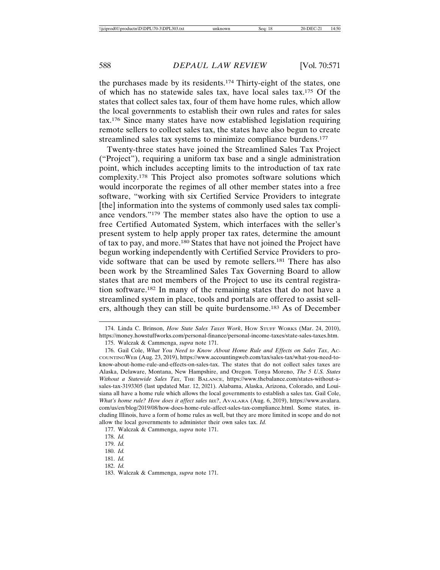the purchases made by its residents.174 Thirty-eight of the states, one of which has no statewide sales tax, have local sales tax.175 Of the states that collect sales tax, four of them have home rules, which allow the local governments to establish their own rules and rates for sales tax.176 Since many states have now established legislation requiring remote sellers to collect sales tax, the states have also begun to create streamlined sales tax systems to minimize compliance burdens.177

Twenty-three states have joined the Streamlined Sales Tax Project ("Project"), requiring a uniform tax base and a single administration point, which includes accepting limits to the introduction of tax rate complexity.178 This Project also promotes software solutions which would incorporate the regimes of all other member states into a free software, "working with six Certified Service Providers to integrate [the] information into the systems of commonly used sales tax compliance vendors."179 The member states also have the option to use a free Certified Automated System, which interfaces with the seller's present system to help apply proper tax rates, determine the amount of tax to pay, and more.180 States that have not joined the Project have begun working independently with Certified Service Providers to provide software that can be used by remote sellers.181 There has also been work by the Streamlined Sales Tax Governing Board to allow states that are not members of the Project to use its central registration software.182 In many of the remaining states that do not have a streamlined system in place, tools and portals are offered to assist sellers, although they can still be quite burdensome.183 As of December

177. Walczak & Cammenga, *supra* note 171.

<sup>174.</sup> Linda C. Brinson, *How State Sales Taxes Work*, HOW STUFF WORKS (Mar. 24, 2010), https://money.howstuffworks.com/personal-finance/personal-income-taxes/state-sales-taxes.htm. 175. Walczak & Cammenga, *supra* note 171.

<sup>176.</sup> Gail Cole, *What You Need to Know About Home Rule and Effects on Sales Tax*, AC-COUNTINGWEB (Aug. 23, 2019), https://www.accountingweb.com/tax/sales-tax/what-you-need-toknow-about-home-rule-and-effects-on-sales-tax. The states that do not collect sales taxes are Alaska, Delaware, Montana, New Hampshire, and Oregon. Tonya Moreno, *The 5 U.S. States Without a Statewide Sales Tax*, THE BALANCE, https://www.thebalance.com/states-without-asales-tax-3193305 (last updated Mar. 12, 2021). Alabama, Alaska, Arizona, Colorado, and Louisiana all have a home rule which allows the local governments to establish a sales tax. Gail Cole, *What's home rule? How does it affect sales tax?*, AVALARA (Aug. 6, 2019), https://www.avalara. com/us/en/blog/2019/08/how-does-home-rule-affect-sales-tax-compliance.html. Some states, including Illinois, have a form of home rules as well, but they are more limited in scope and do not allow the local governments to administer their own sales tax. *Id.*

<sup>178.</sup> *Id.*

<sup>179.</sup> *Id.*

<sup>180.</sup> *Id.*

<sup>181.</sup> *Id.*

<sup>182.</sup> *Id.*

<sup>183.</sup> Walczak & Cammenga, *supra* note 171.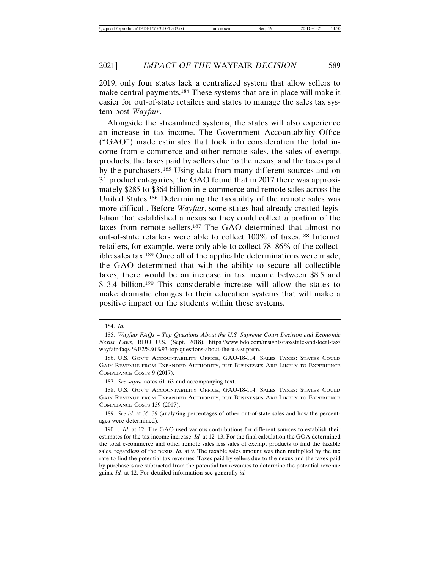2019, only four states lack a centralized system that allow sellers to make central payments.184 These systems that are in place will make it easier for out-of-state retailers and states to manage the sales tax system post-*Wayfair*.

Alongside the streamlined systems, the states will also experience an increase in tax income. The Government Accountability Office ("GAO") made estimates that took into consideration the total income from e-commerce and other remote sales, the sales of exempt products, the taxes paid by sellers due to the nexus, and the taxes paid by the purchasers.185 Using data from many different sources and on 31 product categories, the GAO found that in 2017 there was approximately \$285 to \$364 billion in e-commerce and remote sales across the United States.186 Determining the taxability of the remote sales was more difficult. Before *Wayfair*, some states had already created legislation that established a nexus so they could collect a portion of the taxes from remote sellers.187 The GAO determined that almost no out-of-state retailers were able to collect 100% of taxes.188 Internet retailers, for example, were only able to collect 78–86% of the collectible sales tax.189 Once all of the applicable determinations were made, the GAO determined that with the ability to secure all collectible taxes, there would be an increase in tax income between \$8.5 and \$13.4 billion.<sup>190</sup> This considerable increase will allow the states to make dramatic changes to their education systems that will make a positive impact on the students within these systems.

187. *See supra* notes 61–63 and accompanying text.

<sup>184.</sup> *Id.*

<sup>185.</sup> *Wayfair FAQs – Top Questions About the U.S. Supreme Court Decision and Economic Nexus Laws*, BDO U.S. (Sept. 2018), https://www.bdo.com/insights/tax/state-and-local-tax/ wayfair-faqs-%E2%80%93-top-questions-about-the-u-s-suprem.

<sup>186.</sup> U.S. GOV'T ACCOUNTABILITY OFFICE, GAO-18-114, SALES TAXES: STATES COULD GAIN REVENUE FROM EXPANDED AUTHORITY, BUT BUSINESSES ARE LIKELY TO EXPERIENCE COMPLIANCE COSTS 9 (2017).

<sup>188.</sup> U.S. GOV'T ACCOUNTABILITY OFFICE, GAO-18-114, SALES TAXES: STATES COULD GAIN REVENUE FROM EXPANDED AUTHORITY, BUT BUSINESSES ARE LIKELY TO EXPERIENCE COMPLIANCE COSTS 159 (2017).

<sup>189.</sup> *See id.* at 35–39 (analyzing percentages of other out-of-state sales and how the percentages were determined).

<sup>190. .</sup> *Id.* at 12. The GAO used various contributions for different sources to establish their estimates for the tax income increase. *Id.* at 12–13. For the final calculation the GOA determined the total e-commerce and other remote sales less sales of exempt products to find the taxable sales, regardless of the nexus. *Id.* at 9. The taxable sales amount was then multiplied by the tax rate to find the potential tax revenues. Taxes paid by sellers due to the nexus and the taxes paid by purchasers are subtracted from the potential tax revenues to determine the potential revenue gains. *Id.* at 12. For detailed information see generally *id.*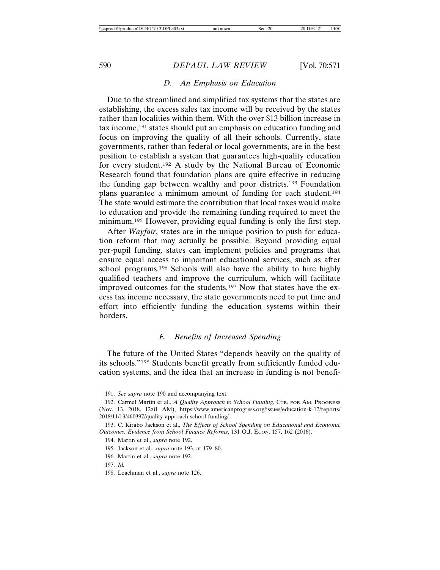## *D. An Emphasis on Education*

Due to the streamlined and simplified tax systems that the states are establishing, the excess sales tax income will be received by the states rather than localities within them. With the over \$13 billion increase in tax income,191 states should put an emphasis on education funding and focus on improving the quality of all their schools. Currently, state governments, rather than federal or local governments, are in the best position to establish a system that guarantees high-quality education for every student.192 A study by the National Bureau of Economic Research found that foundation plans are quite effective in reducing the funding gap between wealthy and poor districts.193 Foundation plans guarantee a minimum amount of funding for each student.194 The state would estimate the contribution that local taxes would make to education and provide the remaining funding required to meet the minimum.195 However, providing equal funding is only the first step.

After *Wayfair*, states are in the unique position to push for education reform that may actually be possible. Beyond providing equal per-pupil funding, states can implement policies and programs that ensure equal access to important educational services, such as after school programs.196 Schools will also have the ability to hire highly qualified teachers and improve the curriculum, which will facilitate improved outcomes for the students.197 Now that states have the excess tax income necessary, the state governments need to put time and effort into efficiently funding the education systems within their borders.

## *E. Benefits of Increased Spending*

The future of the United States "depends heavily on the quality of its schools."198 Students benefit greatly from sufficiently funded education systems, and the idea that an increase in funding is not benefi-

<sup>191.</sup> *See supra* note 190 and accompanying text.

<sup>192.</sup> Carmel Martin et al., *A Quality Approach to School Funding*, CTR. FOR AM. PROGRESS (Nov. 13, 2018, 12:01 AM), https://www.americanprogress.org/issues/education-k-12/reports/ 2018/11/13/460397/quality-approach-school-funding/.

<sup>193.</sup> C. Kirabo Jackson et al., *The Effects of School Spending on Educational and Economic Outcomes: Evidence from School Finance Reforms*, 131 Q.J. ECON. 157, 162 (2016).

<sup>194.</sup> Martin et al., *supra* note 192.

<sup>195.</sup> Jackson et al., *supra* note 193, at 179–80.

<sup>196.</sup> Martin et al., *supra* note 192.

<sup>197.</sup> *Id.*

<sup>198.</sup> Leachman et al., *supra* note 126.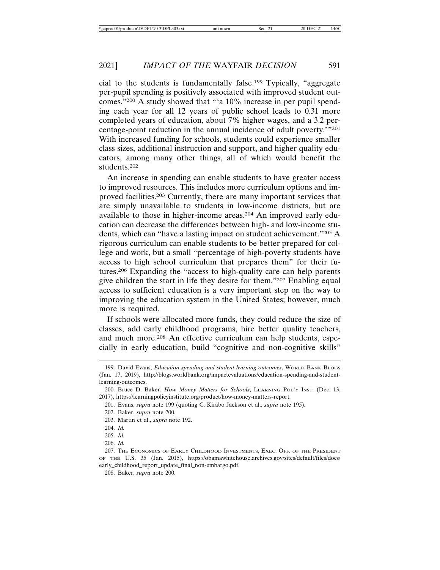cial to the students is fundamentally false.199 Typically, "aggregate per-pupil spending is positively associated with improved student outcomes."200 A study showed that "'a 10% increase in per pupil spending each year for all 12 years of public school leads to 0.31 more completed years of education, about 7% higher wages, and a 3.2 percentage-point reduction in the annual incidence of adult poverty.'"201 With increased funding for schools, students could experience smaller class sizes, additional instruction and support, and higher quality educators, among many other things, all of which would benefit the students.202

An increase in spending can enable students to have greater access to improved resources. This includes more curriculum options and improved facilities.203 Currently, there are many important services that are simply unavailable to students in low-income districts, but are available to those in higher-income areas.204 An improved early education can decrease the differences between high- and low-income students, which can "have a lasting impact on student achievement."205 A rigorous curriculum can enable students to be better prepared for college and work, but a small "percentage of high-poverty students have access to high school curriculum that prepares them" for their futures.206 Expanding the "access to high-quality care can help parents give children the start in life they desire for them."207 Enabling equal access to sufficient education is a very important step on the way to improving the education system in the United States; however, much more is required.

If schools were allocated more funds, they could reduce the size of classes, add early childhood programs, hire better quality teachers, and much more.208 An effective curriculum can help students, especially in early education, build "cognitive and non-cognitive skills"

<sup>199.</sup> David Evans, *Education spending and student learning outcomes*, WORLD BANK BLOGS (Jan. 17, 2019), http://blogs.worldbank.org/impactevaluations/education-spending-and-studentlearning-outcomes.

<sup>200.</sup> Bruce D. Baker, *How Money Matters for Schools*, LEARNING POL'Y INST. (Dec. 13, 2017), https://learningpolicyinstitute.org/product/how-money-matters-report.

<sup>201.</sup> Evans, *supra* note 199 (quoting C. Kirabo Jackson et al., *supra* note 195).

<sup>202.</sup> Baker, *supra* note 200.

<sup>203.</sup> Martin et al., *supra* note 192.

<sup>204.</sup> *Id.*

<sup>205.</sup> *Id.*

<sup>206.</sup> *Id.*

<sup>207.</sup> THE ECONOMICS OF EARLY CHILDHOOD INVESTMENTS, EXEC. OFF. OF THE PRESIDENT OF THE U.S. 35 (Jan. 2015), https://obamawhitehouse.archives.gov/sites/default/files/docs/ early\_childhood\_report\_update\_final\_non-embargo.pdf.

<sup>208.</sup> Baker, *supra* note 200.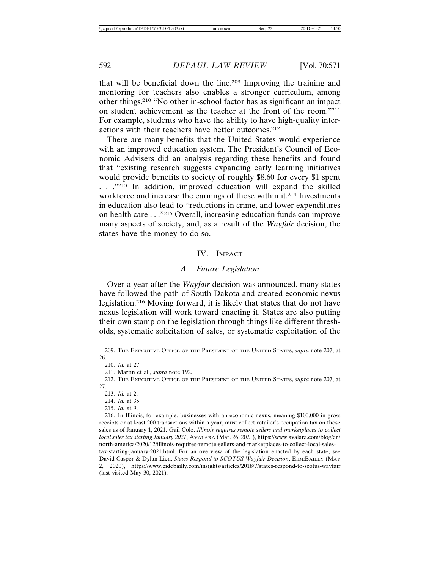that will be beneficial down the line.209 Improving the training and mentoring for teachers also enables a stronger curriculum, among other things.210 "No other in-school factor has as significant an impact on student achievement as the teacher at the front of the room."211 For example, students who have the ability to have high-quality interactions with their teachers have better outcomes.212

There are many benefits that the United States would experience with an improved education system. The President's Council of Economic Advisers did an analysis regarding these benefits and found that "existing research suggests expanding early learning initiatives would provide benefits to society of roughly \$8.60 for every \$1 spent . . . .<sup>"213</sup> In addition, improved education will expand the skilled workforce and increase the earnings of those within it.<sup>214</sup> Investments in education also lead to "reductions in crime, and lower expenditures on health care . . ."215 Overall, increasing education funds can improve many aspects of society, and, as a result of the *Wayfair* decision, the states have the money to do so.

#### IV. IMPACT

## *A. Future Legislation*

Over a year after the *Wayfair* decision was announced, many states have followed the path of South Dakota and created economic nexus legislation.216 Moving forward, it is likely that states that do not have nexus legislation will work toward enacting it. States are also putting their own stamp on the legislation through things like different thresholds, systematic solicitation of sales, or systematic exploitation of the

215. *Id.* at 9.

<sup>209.</sup> THE EXECUTIVE OFFICE OF THE PRESIDENT OF THE UNITED STATES, *supra* note 207, at 26.

<sup>210.</sup> *Id.* at 27.

<sup>211.</sup> Martin et al., *supra* note 192.

<sup>212.</sup> THE EXECUTIVE OFFICE OF THE PRESIDENT OF THE UNITED STATES, *supra* note 207, at 27.

<sup>213.</sup> *Id.* at 2.

<sup>214.</sup> *Id.* at 35.

<sup>216.</sup> In Illinois, for example, businesses with an economic nexus, meaning \$100,000 in gross receipts or at least 200 transactions within a year, must collect retailer's occupation tax on those sales as of January 1, 2021. Gail Cole, *Illinois requires remote sellers and marketplaces to collect local sales tax starting January 2021*, AVALARA (Mar. 26, 2021), https://www.avalara.com/blog/en/ north-america/2020/12/illinois-requires-remote-sellers-and-marketplaces-to-collect-local-salestax-starting-january-2021.html. For an overview of the legislation enacted by each state, see David Casper & Dylan Lien, *States Respond to SCOTUS Wayfair Decision*, EIDEBAILLY (MAY 2, 2020), https://www.eidebailly.com/insights/articles/2018/7/states-respond-to-scotus-wayfair

<sup>(</sup>last visited May 30, 2021).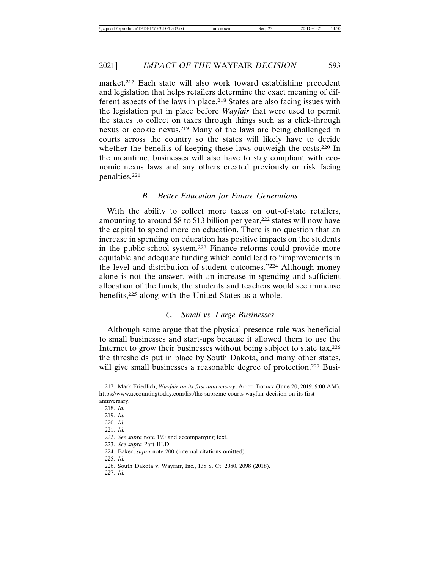market.217 Each state will also work toward establishing precedent and legislation that helps retailers determine the exact meaning of different aspects of the laws in place.218 States are also facing issues with the legislation put in place before *Wayfair* that were used to permit the states to collect on taxes through things such as a click-through nexus or cookie nexus.219 Many of the laws are being challenged in courts across the country so the states will likely have to decide whether the benefits of keeping these laws outweigh the costs.<sup>220</sup> In the meantime, businesses will also have to stay compliant with economic nexus laws and any others created previously or risk facing penalties.221

#### *B. Better Education for Future Generations*

With the ability to collect more taxes on out-of-state retailers, amounting to around  $$8$  to  $$13$  billion per year,<sup>222</sup> states will now have the capital to spend more on education. There is no question that an increase in spending on education has positive impacts on the students in the public-school system.223 Finance reforms could provide more equitable and adequate funding which could lead to "improvements in the level and distribution of student outcomes."224 Although money alone is not the answer, with an increase in spending and sufficient allocation of the funds, the students and teachers would see immense benefits,225 along with the United States as a whole.

# *C. Small vs. Large Businesses*

Although some argue that the physical presence rule was beneficial to small businesses and start-ups because it allowed them to use the Internet to grow their businesses without being subject to state tax,<sup>226</sup> the thresholds put in place by South Dakota, and many other states, will give small businesses a reasonable degree of protection.<sup>227</sup> Busi-

225. *Id.*

<sup>217.</sup> Mark Friedlich, *Wayfair on its first anniversary*, ACCT. TODAY (June 20, 2019, 9:00 AM), https://www.accountingtoday.com/list/the-supreme-courts-wayfair-decision-on-its-firstanniversary.

<sup>218.</sup> *Id.*

<sup>219.</sup> *Id.*

<sup>220.</sup> *Id.*

<sup>221.</sup> *Id.*

<sup>222.</sup> *See supra* note 190 and accompanying text.

<sup>223.</sup> *See supra* Part III.D.

<sup>224.</sup> Baker, *supra* note 200 (internal citations omitted).

<sup>226.</sup> South Dakota v. Wayfair, Inc., 138 S. Ct. 2080, 2098 (2018).

<sup>227.</sup> *Id.*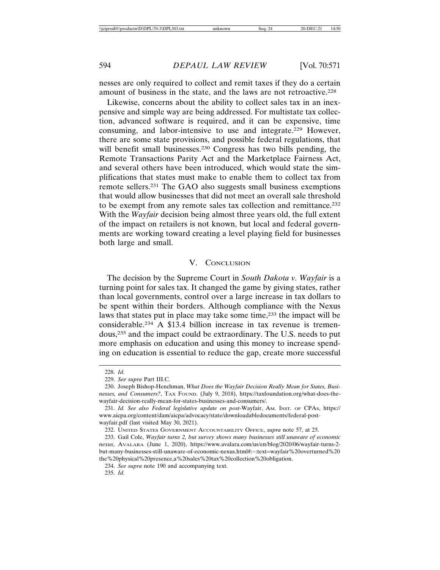nesses are only required to collect and remit taxes if they do a certain amount of business in the state, and the laws are not retroactive.228

Likewise, concerns about the ability to collect sales tax in an inexpensive and simple way are being addressed. For multistate tax collection, advanced software is required, and it can be expensive, time consuming, and labor-intensive to use and integrate.229 However, there are some state provisions, and possible federal regulations, that will benefit small businesses.<sup>230</sup> Congress has two bills pending, the Remote Transactions Parity Act and the Marketplace Fairness Act, and several others have been introduced, which would state the simplifications that states must make to enable them to collect tax from remote sellers.231 The GAO also suggests small business exemptions that would allow businesses that did not meet an overall sale threshold to be exempt from any remote sales tax collection and remittance.232 With the *Wayfair* decision being almost three years old, the full extent of the impact on retailers is not known, but local and federal governments are working toward creating a level playing field for businesses both large and small.

# V. CONCLUSION

The decision by the Supreme Court in *South Dakota v. Wayfair* is a turning point for sales tax. It changed the game by giving states, rather than local governments, control over a large increase in tax dollars to be spent within their borders. Although compliance with the Nexus laws that states put in place may take some time,233 the impact will be considerable.234 A \$13.4 billion increase in tax revenue is tremendous,235 and the impact could be extraordinary. The U.S. needs to put more emphasis on education and using this money to increase spending on education is essential to reduce the gap, create more successful

<sup>228.</sup> *Id.*

<sup>229.</sup> *See supra* Part III.C.

<sup>230.</sup> Joseph Bishop-Henchman, *What Does the Wayfair Decision Really Mean for States, Businesses, and Consumers?*, TAX FOUND. (July 9, 2018), https://taxfoundation.org/what-does-thewayfair-decision-really-mean-for-states-businesses-and-consumers/.

<sup>231.</sup> *Id. See also Federal legislative update on post-*Wayfair, AM. INST. OF CPAS, https:// www.aicpa.org/content/dam/aicpa/advocacy/state/downloadabledocuments/federal-postwayfair.pdf (last visited May 30, 2021).

<sup>232.</sup> UNITED STATES GOVERNMENT ACCOUNTABILITY OFFICE, *supra* note 57, at 25.

<sup>233.</sup> Gail Cole, *Wayfair turns 2, but survey shows many businesses still unaware of economic nexus*, AVALARA (June 1, 2020), https://www.avalara.com/us/en/blog/2020/06/wayfair-turns-2 but-many-businesses-still-unaware-of-economic-nexus.html#:~:text=wayfair%20overturned%20 the%20physical%20presence,a%20sales%20tax%20collection%20obligation.

<sup>234.</sup> *See supra* note 190 and accompanying text.

<sup>235.</sup> *Id.*